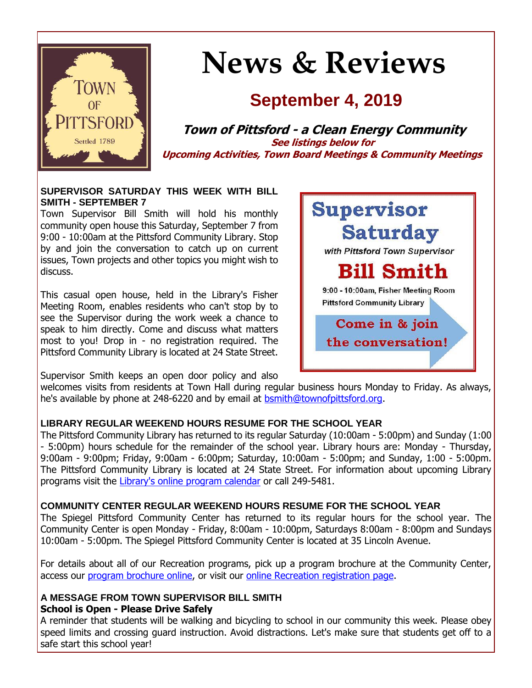

# **News & Reviews**

## **September 4, 2019**

**Town of Pittsford - a Clean Energy Community See listings below for Upcoming Activities, Town Board Meetings & Community Meetings**

#### **SUPERVISOR SATURDAY THIS WEEK WITH BILL SMITH - SEPTEMBER 7**

Town Supervisor Bill Smith will hold his monthly community open house this Saturday, September 7 from 9:00 - 10:00am at the Pittsford Community Library. Stop by and join the conversation to catch up on current issues, Town projects and other topics you might wish to discuss.

This casual open house, held in the Library's Fisher Meeting Room, enables residents who can't stop by to see the Supervisor during the work week a chance to speak to him directly. Come and discuss what matters most to you! Drop in - no registration required. The Pittsford Community Library is located at 24 State Street.



Supervisor Smith keeps an open door policy and also

welcomes visits from residents at Town Hall during regular business hours Monday to Friday. As always, he's available by phone at 248-6220 and by email at [bsmith@townofpittsford.org.](mailto:bsmith@townofpittsford.org)

#### **LIBRARY REGULAR WEEKEND HOURS RESUME FOR THE SCHOOL YEAR**

The Pittsford Community Library has returned to its regular Saturday (10:00am - 5:00pm) and Sunday (1:00 - 5:00pm) hours schedule for the remainder of the school year. Library hours are: Monday - Thursday, 9:00am - 9:00pm; Friday, 9:00am - 6:00pm; Saturday, 10:00am - 5:00pm; and Sunday, 1:00 - 5:00pm. The Pittsford Community Library is located at 24 State Street. For information about upcoming Library programs visit the [Library's online program calendar](http://r20.rs6.net/tn.jsp?f=001BwDPeOFTFFVzcOb2aQ34qRMEibvxrCReyqmKJTlytNg3Rvn7MYeQ9fm9KtNRLFYIB_kEpY3J2u0k03X0iLFU6ya9PMs_sQWQmKlYo8LGdfGhW6UBcuUKAEo7s03qZFkaWvHnBwxJv8Jy6uY1TatXhzBHQRSqZ0qcmNncyyd1zCEQI7I3bJ8Iv7Y3SMgVlXU-uABbLn9R9_WxDbCpmMMxGZ3kmibkVQEwuwzZLg-4p6vjRHoJKAHaVKnHv-ylF00SRaZL8TO1fCFYCE6EFMIXxn0kIv-EzCeZ4gnGLFDw_If9S7h4_c3CewsA8xGdpMA1CHTKu4kKr3Zje35aMawJTTitck2x0jANkL8X248-S0vCoO5AC6XGT8_M1tUSgL9Vfffnnhoq9lA=&c=H872nT9euhiLOLg3kPay8zjPQHIsNnQEWjnU7P1fdSO60KQvlSz5Ig==&ch=RPCTnert4G9zSLe5ntUZYrGIsh2eOtOnJ-K7X6O3qtCUd2u_iyj9kA==) or call 249-5481.

#### **COMMUNITY CENTER REGULAR WEEKEND HOURS RESUME FOR THE SCHOOL YEAR**

The Spiegel Pittsford Community Center has returned to its regular hours for the school year. The Community Center is open Monday - Friday, 8:00am - 10:00pm, Saturdays 8:00am - 8:00pm and Sundays 10:00am - 5:00pm. The Spiegel Pittsford Community Center is located at 35 Lincoln Avenue.

For details about all of our Recreation programs, pick up a program brochure at the Community Center, access our program [brochure online,](http://r20.rs6.net/tn.jsp?f=001BwDPeOFTFFVzcOb2aQ34qRMEibvxrCReyqmKJTlytNg3Rvn7MYeQ9RdXR8VuhiLXSnRIRNl0vD8FPc10TzknUcc4735oPXwH0dVRQ25OVJ1fftD1Cg8GXBtqWNSRbqhK67eNNdcs2OxtV9J72DsiSfFy9ubH1b7eNenMau9K4S2SVCZml8W6DpOP8bgD0G64uBLlKl9WSKMvuwdrn0JV50dbtEd2SVWoomWWsUOVb-Y40Cc3h4NOIP8isRIIlAbVeVhLO_izvHdboicr03nYq9W6GhftfEUgJ901p4jVVQOXepqSjQ3aHjSsDFmceK3HlzNXoyrEYGjLOjQoS0Ui1Q==&c=H872nT9euhiLOLg3kPay8zjPQHIsNnQEWjnU7P1fdSO60KQvlSz5Ig==&ch=RPCTnert4G9zSLe5ntUZYrGIsh2eOtOnJ-K7X6O3qtCUd2u_iyj9kA==) or visit our [online Recreation registration page.](http://r20.rs6.net/tn.jsp?f=001BwDPeOFTFFVzcOb2aQ34qRMEibvxrCReyqmKJTlytNg3Rvn7MYeQ9T0QjBJNGrcjUM_xhW4eOYOUDFBtbfcIm5fJphMysglXeURXa4MwYgHlzfOxIURGfTPr2WUg8Zgl_wKGRr--gx3excxr_8yFkMqpKuwAoaYd5ybunluxX8lzRqAyr2f-zzNXlWIRYejbSv_DvkqgzH-Zv9ATzB5eV04pAM4mwtPda0XOqV2psJOdDoa3iGbYPG7n5A0VJ9xJ8IM3-hkGaF2vPYRSfIlrqPMTzkMV6iSw42j_CmCOyevVRKtP7iN5b__m02_BU9t3gdfCPetJs7KDx6CXqHzd6-IIr7-8SsIW&c=H872nT9euhiLOLg3kPay8zjPQHIsNnQEWjnU7P1fdSO60KQvlSz5Ig==&ch=RPCTnert4G9zSLe5ntUZYrGIsh2eOtOnJ-K7X6O3qtCUd2u_iyj9kA==)

#### **A MESSAGE FROM TOWN SUPERVISOR BILL SMITH School is Open - Please Drive Safely**

A reminder that students will be walking and bicycling to school in our community this week. Please obey speed limits and crossing guard instruction. Avoid distractions. Let's make sure that students get off to a safe start this school year!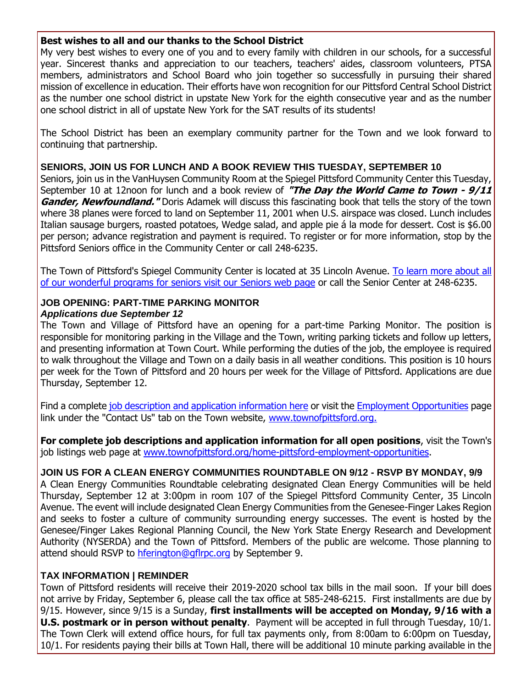#### **Best wishes to all and our thanks to the School District**

My very best wishes to every one of you and to every family with children in our schools, for a successful year. Sincerest thanks and appreciation to our teachers, teachers' aides, classroom volunteers, PTSA members, administrators and School Board who join together so successfully in pursuing their shared mission of excellence in education. Their efforts have won recognition for our Pittsford Central School District as the number one school district in upstate New York for the eighth consecutive year and as the number one school district in all of upstate New York for the SAT results of its students!

The School District has been an exemplary community partner for the Town and we look forward to continuing that partnership.

#### **SENIORS, JOIN US FOR LUNCH AND A BOOK REVIEW THIS TUESDAY, SEPTEMBER 10**

Seniors, join us in the VanHuysen Community Room at the Spiegel Pittsford Community Center this Tuesday, September 10 at 12noon for lunch and a book review of **"The Day the World Came to Town - 9/11 Gander, Newfoundland.**" Doris Adamek will discuss this fascinating book that tells the story of the town where 38 planes were forced to land on September 11, 2001 when U.S. airspace was closed. Lunch includes Italian sausage burgers, roasted potatoes, Wedge salad, and apple pie á la mode for dessert. Cost is \$6.00 per person; advance registration and payment is required. To register or for more information, stop by the Pittsford Seniors office in the Community Center or call 248-6235.

The Town of Pittsford's Spiegel Community Center is located at 35 Lincoln Avenue. [To learn more about all](http://r20.rs6.net/tn.jsp?f=001BwDPeOFTFFVzcOb2aQ34qRMEibvxrCReyqmKJTlytNg3Rvn7MYeQ9Ssp-VDwfYWGuV45Uh-R3wanyEnjmdlC71mO5Nx-SE0lWHRr-N-WglW0rCEVl036Jba-Hu_QNgg8_3jB17ehtuLKF0LcG2uowb7PwLHJiLgemF4Muxmc8J4uzwuSPTZDU9M3NXVvG7TJreFUdMVW-NlChMTxJUuY5YjuVDyeGKpsCA3wDnq5r_l0bcVtzJEwWChT5gqtI8BNhaEZJh-KkCg4FJxP2am7-v0FgP-LRBkmpBs_dufZGlSJzl4abPpf479ro84n9P68&c=H872nT9euhiLOLg3kPay8zjPQHIsNnQEWjnU7P1fdSO60KQvlSz5Ig==&ch=RPCTnert4G9zSLe5ntUZYrGIsh2eOtOnJ-K7X6O3qtCUd2u_iyj9kA==)  [of our wonderful programs for seniors visit our Seniors web page](http://r20.rs6.net/tn.jsp?f=001BwDPeOFTFFVzcOb2aQ34qRMEibvxrCReyqmKJTlytNg3Rvn7MYeQ9Ssp-VDwfYWGuV45Uh-R3wanyEnjmdlC71mO5Nx-SE0lWHRr-N-WglW0rCEVl036Jba-Hu_QNgg8_3jB17ehtuLKF0LcG2uowb7PwLHJiLgemF4Muxmc8J4uzwuSPTZDU9M3NXVvG7TJreFUdMVW-NlChMTxJUuY5YjuVDyeGKpsCA3wDnq5r_l0bcVtzJEwWChT5gqtI8BNhaEZJh-KkCg4FJxP2am7-v0FgP-LRBkmpBs_dufZGlSJzl4abPpf479ro84n9P68&c=H872nT9euhiLOLg3kPay8zjPQHIsNnQEWjnU7P1fdSO60KQvlSz5Ig==&ch=RPCTnert4G9zSLe5ntUZYrGIsh2eOtOnJ-K7X6O3qtCUd2u_iyj9kA==) or call the Senior Center at 248-6235.

#### **JOB OPENING: PART-TIME PARKING MONITOR** *Applications due September 12*

The Town and Village of Pittsford have an opening for a part-time Parking Monitor. The position is responsible for monitoring parking in the Village and the Town, writing parking tickets and follow up letters, and presenting information at Town Court. While performing the duties of the job, the employee is required to walk throughout the Village and Town on a daily basis in all weather conditions. This position is 10 hours per week for the Town of Pittsford and 20 hours per week for the Village of Pittsford. Applications are due Thursday, September 12.

Find a complete [job description and application information here](http://r20.rs6.net/tn.jsp?f=001BwDPeOFTFFVzcOb2aQ34qRMEibvxrCReyqmKJTlytNg3Rvn7MYeQ9VsuXcqudKPZRv6MeKsnaDat3i64qDrrZqZxn4hU2BXoDMWcjQ2wx6PR71yUzMHHIj5we4kp84djuIljGkO7dVk7FgcufESXHk-IwwQy9IsaYM45qj0cKxsYgwBuNDELXPZ6M3KLXsSy-Qq0FPzGZKykUHH-IPzf39jjVthm5Q4qZP_1kBJdPvM7t9IsHnKZVl1Qvb3ZjXn_4xLQIOVAERof0PNtXYSURxraaaihL-VdIOrbsgxayJ-ZPOToZ490IYRAhBCGv30_Qs_c0hvEnVv5IyQlDpuEPiCLklvtELejqPwBJRW6FaKV27z9miJkUuo-y5v4OnTmuDITlGY7wX9h1DrozqfPJg==&c=H872nT9euhiLOLg3kPay8zjPQHIsNnQEWjnU7P1fdSO60KQvlSz5Ig==&ch=RPCTnert4G9zSLe5ntUZYrGIsh2eOtOnJ-K7X6O3qtCUd2u_iyj9kA==) or visit the [Employment Opportunities](http://r20.rs6.net/tn.jsp?f=001BwDPeOFTFFVzcOb2aQ34qRMEibvxrCReyqmKJTlytNg3Rvn7MYeQ9YyOtG7vS2TdiiFvYvTYLZiIICeO1zf_Mt6zRaxjceo8EyiQeV1gJnQxSBy6Pe1CN1S1twmewBw2paMXv2k1VbgMIyB83bkpwtfNJLyogdJI_A57T4gG-Wlz7hu4Bo8D9Zt7paqKzkNDpT_fZg6qo4DI11HSU8vN9N5dfv3iq_7_jxf6o_SWzWKldzX_6DYlGLBC497-g3vPjRPYqu5y1K7N1cjIyqAwIA7kpgN9aHLsBPc8pLJ4peySHFzzrBQS9gUmKv01DwS8mClleWRLpphV5UT2AbWKRtY2PiR0iQT4&c=H872nT9euhiLOLg3kPay8zjPQHIsNnQEWjnU7P1fdSO60KQvlSz5Ig==&ch=RPCTnert4G9zSLe5ntUZYrGIsh2eOtOnJ-K7X6O3qtCUd2u_iyj9kA==) page link under the "Contact Us" tab on the Town website, [www.townofpittsford.org.](http://r20.rs6.net/tn.jsp?f=001BwDPeOFTFFVzcOb2aQ34qRMEibvxrCReyqmKJTlytNg3Rvn7MYeQ9Vc54MPTNbskN7IO17-Na6Iselk-LL4jk0b4O3O0Jafw5ij4w6C5Df_D4H3Y6Fwiol6tUUgaz6_vZs8Ao1nrtZRK1npG3i4W_7JLRIeFaXCYK2xml0trxKCAzIbyw8CKTSyYBt7JHV6378kfljpNLvgWwJp9ehr0iWM8RkPXQm92szNf_L-Rb0nYm7P8eWQs1mrmCNayTLuAvHudvC3_jpLVbVTQvXQgFJJdnvTE2lZzVjQCabkRHq4=&c=H872nT9euhiLOLg3kPay8zjPQHIsNnQEWjnU7P1fdSO60KQvlSz5Ig==&ch=RPCTnert4G9zSLe5ntUZYrGIsh2eOtOnJ-K7X6O3qtCUd2u_iyj9kA==)

**For complete job descriptions and application information for all open positions**, visit the Town's job listings web page at [www.townofpittsford.org/home-pittsford-employment-opportunities.](http://r20.rs6.net/tn.jsp?f=001BwDPeOFTFFVzcOb2aQ34qRMEibvxrCReyqmKJTlytNg3Rvn7MYeQ9YyOtG7vS2TdiiFvYvTYLZiIICeO1zf_Mt6zRaxjceo8EyiQeV1gJnQxSBy6Pe1CN1S1twmewBw2paMXv2k1VbgMIyB83bkpwtfNJLyogdJI_A57T4gG-Wlz7hu4Bo8D9Zt7paqKzkNDpT_fZg6qo4DI11HSU8vN9N5dfv3iq_7_jxf6o_SWzWKldzX_6DYlGLBC497-g3vPjRPYqu5y1K7N1cjIyqAwIA7kpgN9aHLsBPc8pLJ4peySHFzzrBQS9gUmKv01DwS8mClleWRLpphV5UT2AbWKRtY2PiR0iQT4&c=H872nT9euhiLOLg3kPay8zjPQHIsNnQEWjnU7P1fdSO60KQvlSz5Ig==&ch=RPCTnert4G9zSLe5ntUZYrGIsh2eOtOnJ-K7X6O3qtCUd2u_iyj9kA==)

#### **JOIN US FOR A CLEAN ENERGY COMMUNITIES ROUNDTABLE ON 9/12 - RSVP BY MONDAY, 9/9**

A Clean Energy Communities Roundtable celebrating designated Clean Energy Communities will be held Thursday, September 12 at 3:00pm in room 107 of the Spiegel Pittsford Community Center, 35 Lincoln Avenue. The event will include designated Clean Energy Communities from the Genesee-Finger Lakes Region and seeks to foster a culture of community surrounding energy successes. The event is hosted by the Genesee/Finger Lakes Regional Planning Council, the New York State Energy Research and Development Authority (NYSERDA) and the Town of Pittsford. Members of the public are welcome. Those planning to attend should RSVP to [hferington@gflrpc.org](mailto:hferington@gflrpc.org?subject=Clean%20Energy%20Communities%20Roundtable%209-12-19) by September 9.

#### **TAX INFORMATION | REMINDER**

Town of Pittsford residents will receive their 2019-2020 school tax bills in the mail soon. If your bill does not arrive by Friday, September 6, please call the tax office at 585-248-6215. First installments are due by 9/15. However, since 9/15 is a Sunday, **first installments will be accepted on Monday, 9/16 with a U.S. postmark or in person without penalty**. Payment will be accepted in full through Tuesday, 10/1. The Town Clerk will extend office hours, for full tax payments only, from 8:00am to 6:00pm on Tuesday, 10/1. For residents paying their bills at Town Hall, there will be additional 10 minute parking available in the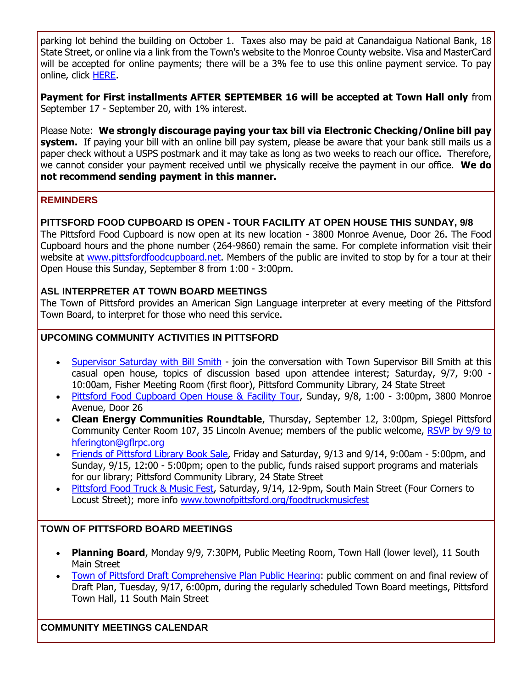parking lot behind the building on October 1. Taxes also may be paid at Canandaigua National Bank, 18 State Street, or online via a link from the Town's website to the Monroe County website. Visa and MasterCard will be accepted for online payments; there will be a 3% fee to use this online payment service. To pay online, click [HERE.](http://r20.rs6.net/tn.jsp?f=001BwDPeOFTFFVzcOb2aQ34qRMEibvxrCReyqmKJTlytNg3Rvn7MYeQ9ZzrMyapswnhP22PVTGR3HYDdD_KE4v3m6ehEJe4kaAhze-h8QBPdThzCM_84kTWkcGO1oW4z24NyHIPcvhinxDflvvmCUmWzuxKmLkwWpYDVattp0ro14NNGmgsT52p_rCY0SaCsUYeGyMIkh6I__3AHuyyqYQl0rc_qx0PH-UKYo_jBVRFgGpzy3V1VbIOoHNLowNwP1IZfTcs8aU7dpawJ4yMxFwGHj-vNbZRG5iqeJzlqmhOylKPmMEf908o3uMX8FOmLkGy&c=H872nT9euhiLOLg3kPay8zjPQHIsNnQEWjnU7P1fdSO60KQvlSz5Ig==&ch=RPCTnert4G9zSLe5ntUZYrGIsh2eOtOnJ-K7X6O3qtCUd2u_iyj9kA==)

**Payment for First installments AFTER SEPTEMBER 16 will be accepted at Town Hall only** from September 17 - September 20, with 1% interest.

Please Note: **We strongly discourage paying your tax bill via Electronic Checking/Online bill pay system.** If paying your bill with an online bill pay system, please be aware that your bank still mails us a paper check without a USPS postmark and it may take as long as two weeks to reach our office. Therefore, we cannot consider your payment received until we physically receive the payment in our office. **We do not recommend sending payment in this manner.**

#### **REMINDERS**

#### **PITTSFORD FOOD CUPBOARD IS OPEN - TOUR FACILITY AT OPEN HOUSE THIS SUNDAY, 9/8**

The Pittsford Food Cupboard is now open at its new location - 3800 Monroe Avenue, Door 26. The Food Cupboard hours and the phone number (264-9860) remain the same. For complete information visit their website at [www.pittsfordfoodcupboard.net.](http://r20.rs6.net/tn.jsp?f=001BwDPeOFTFFVzcOb2aQ34qRMEibvxrCReyqmKJTlytNg3Rvn7MYeQ9V49NTsD_bYnlnux5ZstY4TV5GliOXBxk31wklYw28I9ZructVlzoAR1fbEOYopu_J8ZgVFpzRi1aSkDf7GrTlnsdaB2cvu8blgWG-yh7oTZKuT0C8EOwaJIt_Y5p4QnP7jBMiHlRhnyBAc39NtkLOf2tPchn_QEVuSYEe3xsVbSAV1zVxJZTELjIC4iJkJJlik3okbIC1PG9CvsDMPT_RIOGg80XmPiDeRrAWRs3jg3L14OFVOXaZByFTtkSLyJuQ==&c=H872nT9euhiLOLg3kPay8zjPQHIsNnQEWjnU7P1fdSO60KQvlSz5Ig==&ch=RPCTnert4G9zSLe5ntUZYrGIsh2eOtOnJ-K7X6O3qtCUd2u_iyj9kA==) Members of the public are invited to stop by for a tour at their Open House this Sunday, September 8 from 1:00 - 3:00pm.

#### **ASL INTERPRETER AT TOWN BOARD MEETINGS**

The Town of Pittsford provides an American Sign Language interpreter at every meeting of the Pittsford Town Board, to interpret for those who need this service.

#### **UPCOMING COMMUNITY ACTIVITIES IN PITTSFORD**

- [Supervisor Saturday with Bill Smith](http://r20.rs6.net/tn.jsp?f=001BwDPeOFTFFVzcOb2aQ34qRMEibvxrCReyqmKJTlytNg3Rvn7MYeQ9UiYstHSc8RaeWhq_oOJW20VEEbBWZ7E6QJsGbsr_s8C70wl-hhuW0Zc5XT9oR0DFlFJOV3KTXI5fl9xv1Q7Sotm6kEf3FoWMCeoi6f_ssEthfeIXh1IZTCjiGz9sB1Ic6p5hFtx5e0fjIKTchCcjjMmTeu67P3zoHjHQwRmC_SbZnql-BpwqUne75jUkTAjghH-r8vp7WRcXOLlSoI5_KSGw_owrg6VRntEOx-LZNgf7PiYJIlShIP2Qqlxi_R8pRdFYaZcECGSMkV8UvIibCqKtjcobC1BNbAUf9S5Oa7nlYzLjOBW6nY=&c=H872nT9euhiLOLg3kPay8zjPQHIsNnQEWjnU7P1fdSO60KQvlSz5Ig==&ch=RPCTnert4G9zSLe5ntUZYrGIsh2eOtOnJ-K7X6O3qtCUd2u_iyj9kA==) join the conversation with Town Supervisor Bill Smith at this casual open house, topics of discussion based upon attendee interest; Saturday, 9/7, 9:00 - 10:00am, Fisher Meeting Room (first floor), Pittsford Community Library, 24 State Street
- [Pittsford Food Cupboard Open House & Facility Tour,](http://r20.rs6.net/tn.jsp?f=001BwDPeOFTFFVzcOb2aQ34qRMEibvxrCReyqmKJTlytNg3Rvn7MYeQ9V49NTsD_bYnlnux5ZstY4TV5GliOXBxk31wklYw28I9ZructVlzoAR1fbEOYopu_J8ZgVFpzRi1aSkDf7GrTlnsdaB2cvu8blgWG-yh7oTZKuT0C8EOwaJIt_Y5p4QnP7jBMiHlRhnyBAc39NtkLOf2tPchn_QEVuSYEe3xsVbSAV1zVxJZTELjIC4iJkJJlik3okbIC1PG9CvsDMPT_RIOGg80XmPiDeRrAWRs3jg3L14OFVOXaZByFTtkSLyJuQ==&c=H872nT9euhiLOLg3kPay8zjPQHIsNnQEWjnU7P1fdSO60KQvlSz5Ig==&ch=RPCTnert4G9zSLe5ntUZYrGIsh2eOtOnJ-K7X6O3qtCUd2u_iyj9kA==) Sunday, 9/8, 1:00 3:00pm, 3800 Monroe Avenue, Door 26
- **Clean Energy Communities Roundtable**, Thursday, September 12, 3:00pm, Spiegel Pittsford Community Center Room 107, 35 Lincoln Avenue; members of the public welcome, [RSVP by 9/9 to](mailto:hferington@gflrpc.org)  [hferington@gflrpc.org](mailto:hferington@gflrpc.org)
- [Friends of Pittsford Library Book Sale,](http://r20.rs6.net/tn.jsp?f=001BwDPeOFTFFVzcOb2aQ34qRMEibvxrCReyqmKJTlytNg3Rvn7MYeQ9WKpJvQcMPE78EkB4qGAnqZ6oxEYXJV2Qlls-MVrY0OdqC0xBKCEag7A_GZfeRTXRsWaePiABK4LYrQCpHb9nTp3xbFza86aMP2EM7NqFQ5vO8fFdiYv6fkayoqkGk9YX46SADfC0aklcCov7v_0CQWGC2toCrN_aQl5jqVDATI_ep9NtczQXG7wwXv2GaZTeVuRqvlIe0PTWb1xtcUQ_DK5KeG5zS8ks-vXOfMqCXKIiFz8K3VfordZpy261LYLb7OiZ29rLvYt&c=H872nT9euhiLOLg3kPay8zjPQHIsNnQEWjnU7P1fdSO60KQvlSz5Ig==&ch=RPCTnert4G9zSLe5ntUZYrGIsh2eOtOnJ-K7X6O3qtCUd2u_iyj9kA==) Friday and Saturday, 9/13 and 9/14, 9:00am 5:00pm, and Sunday, 9/15, 12:00 - 5:00pm; open to the public, funds raised support programs and materials for our library; Pittsford Community Library, 24 State Street
- [Pittsford Food Truck & Music Fest,](http://r20.rs6.net/tn.jsp?f=001BwDPeOFTFFVzcOb2aQ34qRMEibvxrCReyqmKJTlytNg3Rvn7MYeQ9ZaGwvTPiPXtGkyxzdrjkUeDAsGbOeeQ5-FSnAswXirtkrf6qNm9b8jPD0Lwd6LH_QXhe7QiYURddjaRKcQcpqJsA1s_oJB_5HVX259gkY6VlbPvQxyZ3fyCCeWrxBkjX_nLvhN16uXFVfQriR-9Dp6w4la-7WeOYLboMXRxo2uHWNAi91KcR7usO_PQ2i6HeQkYOKLYHWOCrb4L7q1Uf1lnZmGaWN3VrA6fGG_LwVmwXmztvLUm7wiu5MiEvTWdNvwJ9vfd0ytZ&c=H872nT9euhiLOLg3kPay8zjPQHIsNnQEWjnU7P1fdSO60KQvlSz5Ig==&ch=RPCTnert4G9zSLe5ntUZYrGIsh2eOtOnJ-K7X6O3qtCUd2u_iyj9kA==) Saturday, 9/14, 12-9pm, South Main Street (Four Corners to Locust Street); more info [www.townofpittsford.org/foodtruckmusicfest](http://r20.rs6.net/tn.jsp?f=001BwDPeOFTFFVzcOb2aQ34qRMEibvxrCReyqmKJTlytNg3Rvn7MYeQ9Spym8WfV5VgUheKT3Djb1Zm7sBp4ECElQ718iSnvxa_3w4881O8e1tgC9j0LzmHzOd7dOoCcFmTvOAeWYazQp0l7GvXkLM1hyT-mLOz9uC8NK2H2TEK7fONTbSdTCavQlIJh7G26tk_6fbTQtvecVf4fxbroRvSnEOy5Hq5TG3FQzSDxQwTv3doLD_KxzxeIlTWnF8ql2RZWnNhW8QvGh4r1PsKutNawfOEvR9UekK3Jo1Jp1ztQ9iOr7Vfo9CtTiqxfyfbgEkn&c=H872nT9euhiLOLg3kPay8zjPQHIsNnQEWjnU7P1fdSO60KQvlSz5Ig==&ch=RPCTnert4G9zSLe5ntUZYrGIsh2eOtOnJ-K7X6O3qtCUd2u_iyj9kA==)

#### **TOWN OF PITTSFORD BOARD MEETINGS**

- **Planning Board**, Monday 9/9, 7:30PM, Public Meeting Room, Town Hall (lower level), 11 South Main Street
- [Town of Pittsford Draft Comprehensive Plan Public Hearing:](http://r20.rs6.net/tn.jsp?f=001BwDPeOFTFFVzcOb2aQ34qRMEibvxrCReyqmKJTlytNg3Rvn7MYeQ9WH_7vW804l0q9DwDAVuZTvY9TQHP21kcNTaUNpqmlJoPon0FXWVyjDkvnh8ziw-bTCY5bVcGD7jEbZfYnywk4m1rUpcMhY95UcWbBvgvc2fU45RTZP-gx4yjILJFtOzSnFclTEqK1a2T1D-HG3FszfUiGQ937kOQfQpNFWQrs5sYWq05mSA-kxgdafuLQxcEVRDL70I_D0rRNpLnmE6byEYKc8aC383UgVRIXQLPpkNnuITSAjIHR-Ve5wGQZhQTU7w12eNojVE&c=H872nT9euhiLOLg3kPay8zjPQHIsNnQEWjnU7P1fdSO60KQvlSz5Ig==&ch=RPCTnert4G9zSLe5ntUZYrGIsh2eOtOnJ-K7X6O3qtCUd2u_iyj9kA==) public comment on and final review of Draft Plan, Tuesday, 9/17, 6:00pm, during the regularly scheduled Town Board meetings, Pittsford Town Hall, 11 South Main Street

#### **COMMUNITY MEETINGS CALENDAR**